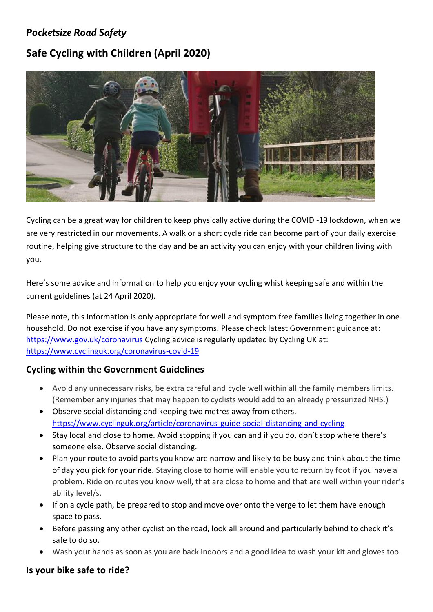## *Pocketsize Road Safety*

# **Safe Cycling with Children (April 2020)**



Cycling can be a great way for children to keep physically active during the COVID -19 lockdown, when we are very restricted in our movements. A walk or a short cycle ride can become part of your daily exercise routine, helping give structure to the day and be an activity you can enjoy with your children living with you.

Here's some advice and information to help you enjoy your cycling whist keeping safe and within the current guidelines (at 24 April 2020).

Please note, this information is only appropriate for well and symptom free families living together in one household. Do not exercise if you have any symptoms. Please check latest Government guidance at: <https://www.gov.uk/coronavirus> Cycling advice is regularly updated by Cycling UK at: <https://www.cyclinguk.org/coronavirus-covid-19>

#### **Cycling within the Government Guidelines**

- Avoid any unnecessary risks, be extra careful and cycle well within all the family members limits. (Remember any injuries that may happen to cyclists would add to an already pressurized NHS.)
- Observe social distancing and keeping two metres away from others. <https://www.cyclinguk.org/article/coronavirus-guide-social-distancing-and-cycling>
- Stay local and close to home. Avoid stopping if you can and if you do, don't stop where there's someone else. Observe social distancing.
- Plan your route to avoid parts you know are narrow and likely to be busy and think about the time of day you pick for your ride. Staying close to home will enable you to return by foot if you have a problem. Ride on routes you know well, that are close to home and that are well within your rider's ability level/s.
- If on a cycle path, be prepared to stop and move over onto the verge to let them have enough space to pass.
- Before passing any other cyclist on the road, look all around and particularly behind to check it's safe to do so.
- Wash your hands as soon as you are back indoors and a good idea to wash your kit and gloves too.

#### **Is your bike safe to ride?**